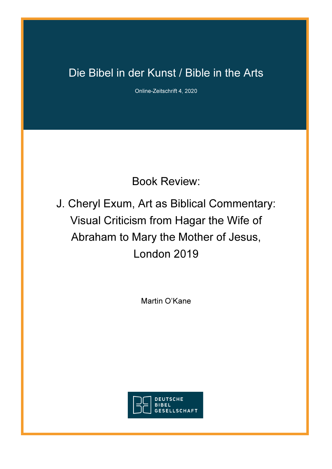## Die Bibel in der Kunst / Bible in the Arts

Online-Zeitschrift 4, 2020

Book Review:

J. Cheryl Exum, Art as Biblical Commentary: Visual Criticism from Hagar the Wife of Abraham to Mary the Mother of Jesus, London 2019

Martin O'Kane

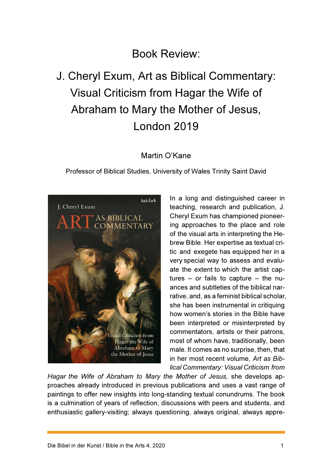### Book Review:

# J. Cheryl Exum, Art as Biblical Commentary: Visual Criticism from Hagar the Wife of Abraham to Mary the Mother of Jesus, London 2019

### Martin O'Kane

Professor of Biblical Studies, University of Wales Trinity Saint David



In a long and distinguished career in teaching, research and publication, J. Cheryl Exum has championed pioneering approaches to the place and role of the visual arts in interpreting the Hebrew Bible. Her expertise as textual critic and exegete has equipped her in a very special way to assess and evaluate the extent to which the artist captures – or fails to capture – the nuances and subtleties of the biblical narrative, and, as a feminist biblical scholar, she has been instrumental in critiquing how women's stories in the Bible have been interpreted or misinterpreted by commentators, artists or their patrons, most of whom have, traditionally, been male. It comes as no surprise, then, that in her most recent volume, Art as Biblical Commentary: Visual Criticism from

Hagar the Wife of Abraham to Mary the Mother of Jesus, she develops approaches already introduced in previous publications and uses a vast range of paintings to offer new insights into long-standing textual conundrums. The book is a culmination of years of reflection, discussions with peers and students, and enthusiastic gallery-visiting; always questioning, always original, always appre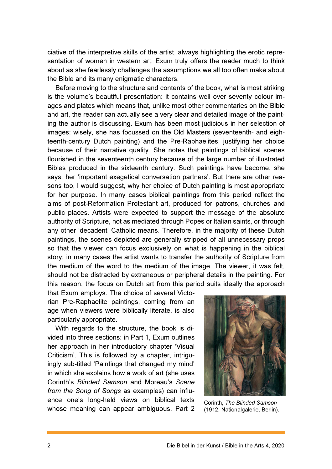ciative of the interpretive skills of the artist, always highlighting the erotic representation of women in western art, Exum truly offers the reader much to think about as she fearlessly challenges the assumptions we all too often make about the Bible and its many enigmatic characters.

Before moving to the structure and contents of the book, what is most striking is the volume's beautiful presentation: it contains well over seventy colour images and plates which means that, unlike most other commentaries on the Bible and art, the reader can actually see a very clear and detailed image of the painting the author is discussing. Exum has been most judicious in her selection of images: wisely, she has focussed on the Old Masters (seventeenth- and eighteenth-century Dutch painting) and the Pre-Raphaelites, justifying her choice because of their narrative quality. She notes that paintings of biblical scenes flourished in the seventeenth century because of the large number of illustrated Bibles produced in the sixteenth century. Such paintings have become, she says, her 'important exegetical conversation partners'. But there are other reasons too, I would suggest, why her choice of Dutch painting is most appropriate for her purpose. In many cases biblical paintings from this period reflect the aims of post-Reformation Protestant art, produced for patrons, churches and public places. Artists were expected to support the message of the absolute authority of Scripture, not as mediated through Popes or Italian saints, or through any other 'decadent' Catholic means. Therefore, in the majority of these Dutch paintings, the scenes depicted are generally stripped of all unnecessary props so that the viewer can focus exclusively on what is happening in the biblical story; in many cases the artist wants to transfer the authority of Scripture from the medium of the word to the medium of the image. The viewer, it was felt, should not be distracted by extraneous or peripheral details in the painting. For this reason, the focus on Dutch art from this period suits ideally the approach

that Exum employs. The choice of several Victorian Pre-Raphaelite paintings, coming from an age when viewers were biblically literate, is also particularly appropriate.

With regards to the structure, the book is divided into three sections: in Part 1, Exum outlines her approach in her introductory chapter 'Visual Criticism'. This is followed by a chapter, intriguingly sub-titled 'Paintings that changed my mind' in which she explains how a work of art (she uses Corinth's Blinded Samson and Moreau's Scene from the Song of Songs as examples) can influence one's long-held views on biblical texts whose meaning can appear ambiguous. Part 2



Corinth, The Blinded Samson (1912, Nationalgalerie, Berlin).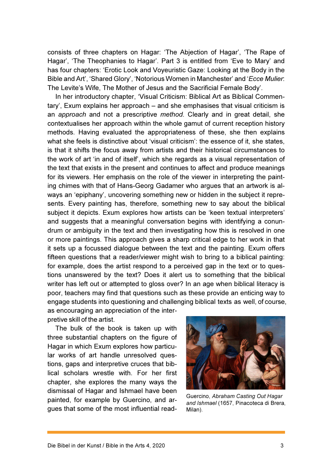consists of three chapters on Hagar: 'The Abjection of Hagar', 'The Rape of Hagar', 'The Theophanies to Hagar'. Part 3 is entitled from 'Eve to Mary' and has four chapters: 'Erotic Look and Voyeuristic Gaze: Looking at the Body in the Bible and Art', 'Shared Glory', 'Notorious Women in Manchester' and 'Ecce Mulier: The Levite's Wife, The Mother of Jesus and the Sacrificial Female Body'.

In her introductory chapter, 'Visual Criticism: Biblical Art as Biblical Commentary', Exum explains her approach – and she emphasises that visual criticism is an approach and not a prescriptive method. Clearly and in great detail, she contextualises her approach within the whole gamut of current reception history methods. Having evaluated the appropriateness of these, she then explains what she feels is distinctive about 'visual criticism': the essence of it, she states, is that it shifts the focus away from artists and their historical circumstances to the work of art 'in and of itself', which she regards as a visual representation of the text that exists in the present and continues to affect and produce meanings for its viewers. Her emphasis on the role of the viewer in interpreting the painting chimes with that of Hans-Georg Gadamer who argues that an artwork is always an 'epiphany', uncovering something new or hidden in the subject it represents. Every painting has, therefore, something new to say about the biblical subject it depicts. Exum explores how artists can be 'keen textual interpreters' and suggests that a meaningful conversation begins with identifying a conundrum or ambiguity in the text and then investigating how this is resolved in one or more paintings. This approach gives a sharp critical edge to her work in that it sets up a focussed dialogue between the text and the painting. Exum offers fifteen questions that a reader/viewer might wish to bring to a biblical painting: for example, does the artist respond to a perceived gap in the text or to questions unanswered by the text? Does it alert us to something that the biblical writer has left out or attempted to gloss over? In an age when biblical literacy is poor, teachers may find that questions such as these provide an enticing way to engage students into questioning and challenging biblical texts as well, of course, as encouraging an appreciation of the inter-

pretive skill of the artist.

The bulk of the book is taken up with three substantial chapters on the figure of Hagar in which Exum explores how particular works of art handle unresolved questions, gaps and interpretive cruces that biblical scholars wrestle with. For her first chapter, she explores the many ways the dismissal of Hagar and Ishmael have been painted, for example by Guercino, and argues that some of the most influential read-



Guercino, Abraham Casting Out Hagar and Ishmael (1657, Pinacoteca di Brera, Milan).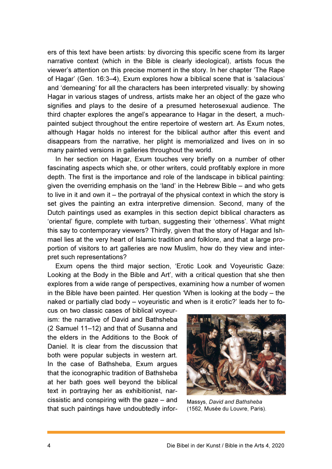ers of this text have been artists: by divorcing this specific scene from its larger narrative context (which in the Bible is clearly ideological), artists focus the viewer's attention on this precise moment in the story. In her chapter 'The Rape of Hagar' (Gen. 16:3–4), Exum explores how a biblical scene that is 'salacious' and 'demeaning' for all the characters has been interpreted visually: by showing Hagar in various stages of undress, artists make her an object of the gaze who signifies and plays to the desire of a presumed heterosexual audience. The third chapter explores the angel's appearance to Hagar in the desert, a muchpainted subject throughout the entire repertoire of western art. As Exum notes, although Hagar holds no interest for the biblical author after this event and disappears from the narrative, her plight is memorialized and lives on in so many painted versions in galleries throughout the world.

In her section on Hagar, Exum touches very briefly on a number of other fascinating aspects which she, or other writers, could profitably explore in more depth. The first is the importance and role of the landscape in biblical painting: given the overriding emphasis on the 'land' in the Hebrew Bible – and who gets to live in it and own it – the portrayal of the physical context in which the story is set gives the painting an extra interpretive dimension. Second, many of the Dutch paintings used as examples in this section depict biblical characters as 'oriental' figure, complete with turban, suggesting their 'otherness'. What might this say to contemporary viewers? Thirdly, given that the story of Hagar and Ishmael lies at the very heart of Islamic tradition and folklore, and that a large proportion of visitors to art galleries are now Muslim, how do they view and interpret such representations?

Exum opens the third major section, 'Erotic Look and Voyeuristic Gaze: Looking at the Body in the Bible and Art', with a critical question that she then explores from a wide range of perspectives, examining how a number of women in the Bible have been painted. Her question 'When is looking at the body – the naked or partially clad body – voyeuristic and when is it erotic?' leads her to fo-

cus on two classic cases of biblical voyeurism: the narrative of David and Bathsheba (2 Samuel 11–12) and that of Susanna and the elders in the Additions to the Book of Daniel. It is clear from the discussion that both were popular subjects in western art. In the case of Bathsheba, Exum argues that the iconographic tradition of Bathsheba at her bath goes well beyond the biblical text in portraying her as exhibitionist, narcissistic and conspiring with the gaze – and that such paintings have undoubtedly infor-



Massys, David and Bathsheba (1562, Musée du Louvre, Paris).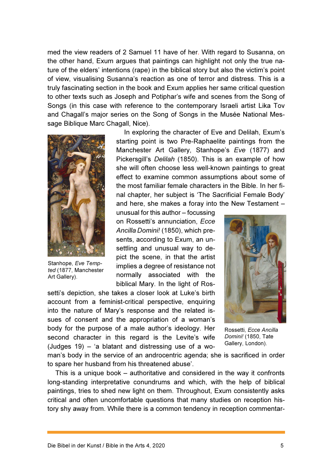med the view readers of 2 Samuel 11 have of her. With regard to Susanna, on the other hand, Exum argues that paintings can highlight not only the true nature of the elders' intentions (rape) in the biblical story but also the victim's point of view, visualising Susanna's reaction as one of terror and distress. This is a truly fascinating section in the book and Exum applies her same critical question to other texts such as Joseph and Potiphar's wife and scenes from the Song of Songs (in this case with reference to the contemporary Israeli artist Lika Tov and Chagall's major series on the Song of Songs in the Musée National Message Biblique Marc Chagall, Nice).



Stanhope, Eve Tempted (1877, Manchester Art Gallery).

In exploring the character of Eve and Delilah, Exum's starting point is two Pre-Raphaelite paintings from the Manchester Art Gallery, Stanhope's Eve (1877) and Pickersgill's Delilah (1850). This is an example of how she will often choose less well-known paintings to great effect to examine common assumptions about some of the most familiar female characters in the Bible. In her final chapter, her subject is 'The Sacrificial Female Body' and here, she makes a foray into the New Testament –

unusual for this author – focussing on Rossetti's annunciation, Ecce Ancilla Domini! (1850), which presents, according to Exum, an unsettling and unusual way to depict the scene, in that the artist implies a degree of resistance not normally associated with the biblical Mary. In the light of Ros-

setti's depiction, she takes a closer look at Luke's birth account from a feminist-critical perspective, enquiring into the nature of Mary's response and the related issues of consent and the appropriation of a woman's body for the purpose of a male author's ideology. Her second character in this regard is the Levite's wife (Judges 19) – 'a blatant and distressing use of a wo-



Rossetti, Ecce Ancilla Domini! (1850, Tate Gallery, London).

man's body in the service of an androcentric agenda; she is sacrificed in order to spare her husband from his threatened abuse'.

This is a unique book – authoritative and considered in the way it confronts long-standing interpretative conundrums and which, with the help of biblical paintings, tries to shed new light on them. Throughout, Exum consistently asks critical and often uncomfortable questions that many studies on reception history shy away from. While there is a common tendency in reception commentar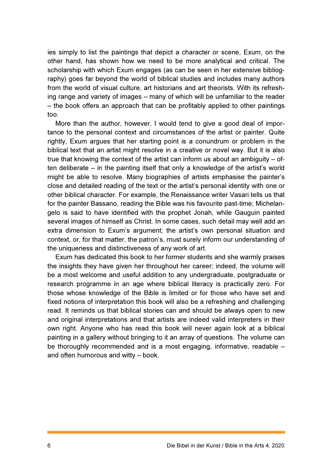ies simply to list the paintings that depict a character or scene, Exum, on the other hand, has shown how we need to be more analytical and critical. The scholarship with which Exum engages (as can be seen in her extensive bibliography) goes far beyond the world of biblical studies and includes many authors from the world of visual culture, art historians and art theorists. With its refreshing range and variety of images – many of which will be unfamiliar to the reader – the book offers an approach that can be profitably applied to other paintings too.

More than the author, however, I would tend to give a good deal of importance to the personal context and circumstances of the artist or painter. Quite rightly, Exum argues that her starting point is a conundrum or problem in the biblical text that an artist might resolve in a creative or novel way. But it is also true that knowing the context of the artist can inform us about an ambiguity – often deliberate – in the painting itself that only a knowledge of the artist's world might be able to resolve. Many biographies of artists emphasise the painter's close and detailed reading of the text or the artist's personal identity with one or other biblical character. For example, the Renaissance writer Vasari tells us that for the painter Bassano, reading the Bible was his favourite past-time; Michelangelo is said to have identified with the prophet Jonah, while Gauguin painted several images of himself as Christ. In some cases, such detail may well add an extra dimension to Exum's argument; the artist's own personal situation and context, or, for that matter, the patron's, must surely inform our understanding of the uniqueness and distinctiveness of any work of art.

Exum has dedicated this book to her former students and she warmly praises the insights they have given her throughout her career; indeed, the volume will be a most welcome and useful addition to any undergraduate, postgraduate or research programme in an age where biblical literacy is practically zero. For those whose knowledge of the Bible is limited or for those who have set and fixed notions of interpretation this book will also be a refreshing and challenging read. It reminds us that biblical stories can and should be always open to new and original interpretations and that artists are indeed valid interpreters in their own right. Anyone who has read this book will never again look at a biblical painting in a gallery without bringing to it an array of questions. The volume can be thoroughly recommended and is a most engaging, informative, readable – and often humorous and witty – book.